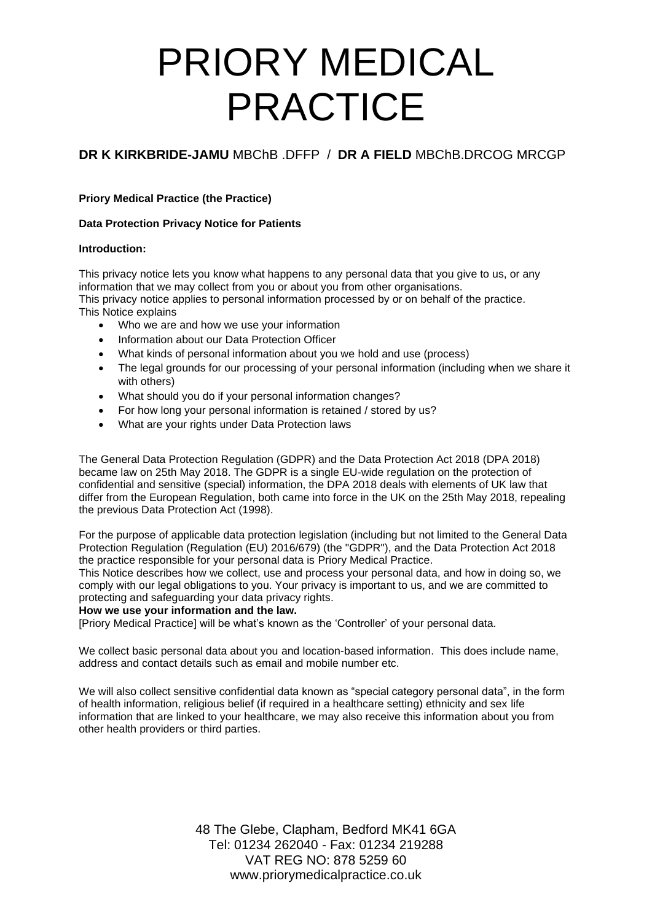# **DR K KIRKBRIDE-JAMU** MBChB .DFFP / **DR A FIELD** MBChB.DRCOG MRCGP

## **Priory Medical Practice (the Practice)**

## **Data Protection Privacy Notice for Patients**

### **Introduction:**

This privacy notice lets you know what happens to any personal data that you give to us, or any information that we may collect from you or about you from other organisations. This privacy notice applies to personal information processed by or on behalf of the practice. This Notice explains

- Who we are and how we use your information
- Information about our Data Protection Officer
- What kinds of personal information about you we hold and use (process)
- The legal grounds for our processing of your personal information (including when we share it with others)
- What should you do if your personal information changes?
- For how long your personal information is retained / stored by us?
- What are your rights under Data Protection laws

The General Data Protection Regulation (GDPR) and the Data Protection Act 2018 (DPA 2018) became law on 25th May 2018. The GDPR is a single EU-wide regulation on the protection of confidential and sensitive (special) information, the DPA 2018 deals with elements of UK law that differ from the European Regulation, both came into force in the UK on the 25th May 2018, repealing the previous Data Protection Act (1998).

For the purpose of applicable data protection legislation (including but not limited to the General Data Protection Regulation (Regulation (EU) 2016/679) (the "GDPR"), and the Data Protection Act 2018 the practice responsible for your personal data is Priory Medical Practice.

This Notice describes how we collect, use and process your personal data, and how in doing so, we comply with our legal obligations to you. Your privacy is important to us, and we are committed to protecting and safeguarding your data privacy rights.

### **How we use your information and the law.**

[Priory Medical Practice] will be what's known as the 'Controller' of your personal data.

We collect basic personal data about you and location-based information. This does include name, address and contact details such as email and mobile number etc.

We will also collect sensitive confidential data known as "special category personal data", in the form of health information, religious belief (if required in a healthcare setting) ethnicity and sex life information that are linked to your healthcare, we may also receive this information about you from other health providers or third parties.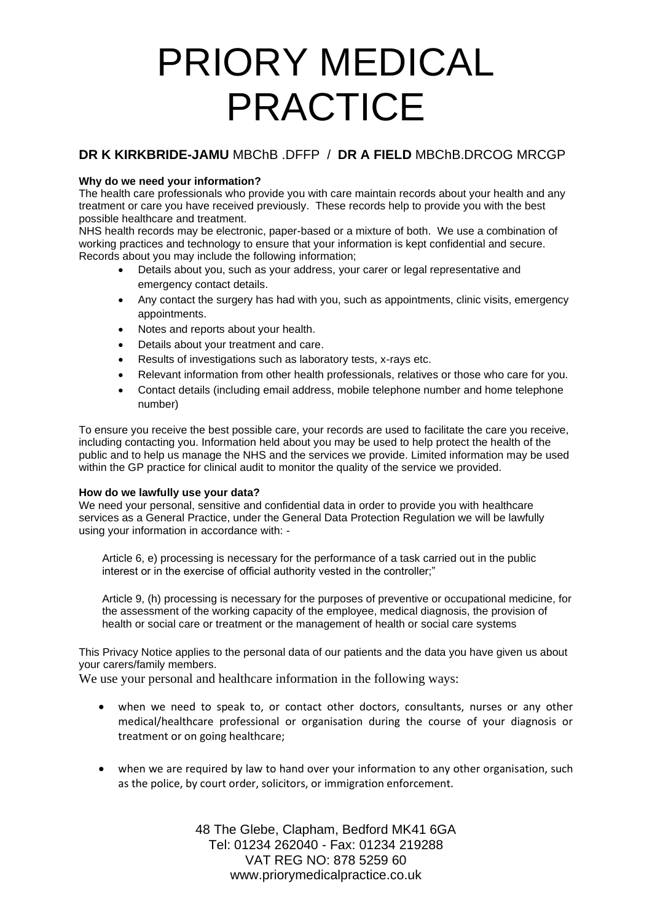# **DR K KIRKBRIDE-JAMU** MBChB .DFFP / **DR A FIELD** MBChB.DRCOG MRCGP

## **Why do we need your information?**

The health care professionals who provide you with care maintain records about your health and any treatment or care you have received previously. These records help to provide you with the best possible healthcare and treatment.

NHS health records may be electronic, paper-based or a mixture of both. We use a combination of working practices and technology to ensure that your information is kept confidential and secure. Records about you may include the following information;

- Details about you, such as your address, your carer or legal representative and emergency contact details.
- Any contact the surgery has had with you, such as appointments, clinic visits, emergency appointments.
- Notes and reports about your health.
- Details about your treatment and care.
- Results of investigations such as laboratory tests, x-rays etc.
- Relevant information from other health professionals, relatives or those who care for you.
- Contact details (including email address, mobile telephone number and home telephone number)

To ensure you receive the best possible care, your records are used to facilitate the care you receive, including contacting you. Information held about you may be used to help protect the health of the public and to help us manage the NHS and the services we provide. Limited information may be used within the GP practice for clinical audit to monitor the quality of the service we provided.

### **How do we lawfully use your data?**

We need your personal, sensitive and confidential data in order to provide you with healthcare services as a General Practice, under the General Data Protection Regulation we will be lawfully using your information in accordance with: -

Article 6, e) processing is necessary for the performance of a task carried out in the public interest or in the exercise of official authority vested in the controller;"

Article 9, (h) processing is necessary for the purposes of preventive or occupational medicine, for the assessment of the working capacity of the employee, medical diagnosis, the provision of health or social care or treatment or the management of health or social care systems

This Privacy Notice applies to the personal data of our patients and the data you have given us about your carers/family members.

We use your personal and healthcare information in the following ways:

- when we need to speak to, or contact other doctors, consultants, nurses or any other medical/healthcare professional or organisation during the course of your diagnosis or treatment or on going healthcare;
- when we are required by law to hand over your information to any other organisation, such as the police, by court order, solicitors, or immigration enforcement.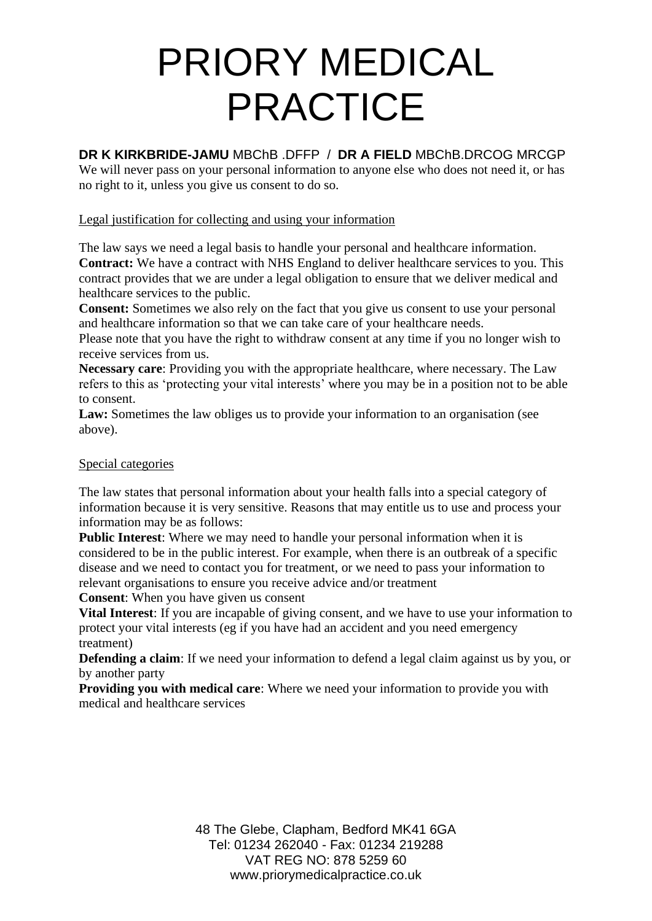# **DR K KIRKBRIDE-JAMU** MBChB .DFFP / **DR A FIELD** MBChB.DRCOG MRCGP

We will never pass on your personal information to anyone else who does not need it, or has no right to it, unless you give us consent to do so.

## Legal justification for collecting and using your information

The law says we need a legal basis to handle your personal and healthcare information. **Contract:** We have a contract with NHS England to deliver healthcare services to you. This contract provides that we are under a legal obligation to ensure that we deliver medical and healthcare services to the public.

**Consent:** Sometimes we also rely on the fact that you give us consent to use your personal and healthcare information so that we can take care of your healthcare needs.

Please note that you have the right to withdraw consent at any time if you no longer wish to receive services from us.

**Necessary care**: Providing you with the appropriate healthcare, where necessary. The Law refers to this as 'protecting your vital interests' where you may be in a position not to be able to consent.

Law: Sometimes the law obliges us to provide your information to an organisation (see above).

## Special categories

The law states that personal information about your health falls into a special category of information because it is very sensitive. Reasons that may entitle us to use and process your information may be as follows:

**Public Interest**: Where we may need to handle your personal information when it is considered to be in the public interest. For example, when there is an outbreak of a specific disease and we need to contact you for treatment, or we need to pass your information to relevant organisations to ensure you receive advice and/or treatment

**Consent**: When you have given us consent

**Vital Interest**: If you are incapable of giving consent, and we have to use your information to protect your vital interests (eg if you have had an accident and you need emergency treatment)

**Defending a claim**: If we need your information to defend a legal claim against us by you, or by another party

**Providing you with medical care**: Where we need your information to provide you with medical and healthcare services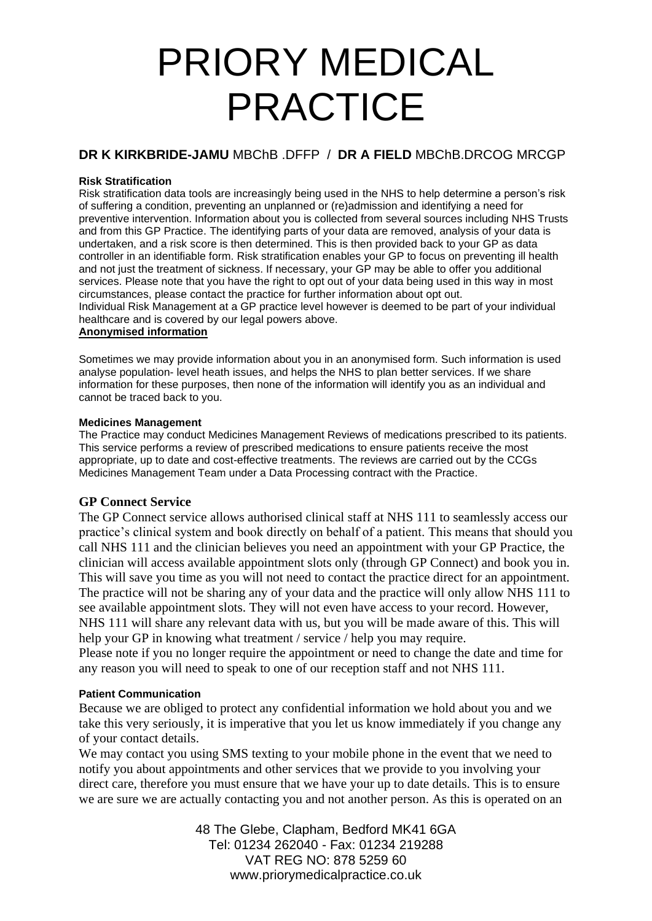# **DR K KIRKBRIDE-JAMU** MBChB .DFFP / **DR A FIELD** MBChB.DRCOG MRCGP

## **Risk Stratification**

Risk stratification data tools are increasingly being used in the NHS to help determine a person's risk of suffering a condition, preventing an unplanned or (re)admission and identifying a need for preventive intervention. Information about you is collected from several sources including NHS Trusts and from this GP Practice. The identifying parts of your data are removed, analysis of your data is undertaken, and a risk score is then determined. This is then provided back to your GP as data controller in an identifiable form. Risk stratification enables your GP to focus on preventing ill health and not just the treatment of sickness. If necessary, your GP may be able to offer you additional services. Please note that you have the right to opt out of your data being used in this way in most circumstances, please contact the practice for further information about opt out. Individual Risk Management at a GP practice level however is deemed to be part of your individual healthcare and is covered by our legal powers above.

## **Anonymised information**

Sometimes we may provide information about you in an anonymised form. Such information is used analyse population- level heath issues, and helps the NHS to plan better services. If we share information for these purposes, then none of the information will identify you as an individual and cannot be traced back to you.

### **Medicines Management**

The Practice may conduct Medicines Management Reviews of medications prescribed to its patients. This service performs a review of prescribed medications to ensure patients receive the most appropriate, up to date and cost-effective treatments. The reviews are carried out by the CCGs Medicines Management Team under a Data Processing contract with the Practice.

## **GP Connect Service**

The GP Connect service allows authorised clinical staff at NHS 111 to seamlessly access our practice's clinical system and book directly on behalf of a patient. This means that should you call NHS 111 and the clinician believes you need an appointment with your GP Practice, the clinician will access available appointment slots only (through GP Connect) and book you in. This will save you time as you will not need to contact the practice direct for an appointment. The practice will not be sharing any of your data and the practice will only allow NHS 111 to see available appointment slots. They will not even have access to your record. However, NHS 111 will share any relevant data with us, but you will be made aware of this. This will help your GP in knowing what treatment / service / help you may require. Please note if you no longer require the appointment or need to change the date and time for

any reason you will need to speak to one of our reception staff and not NHS 111.

## **Patient Communication**

Because we are obliged to protect any confidential information we hold about you and we take this very seriously, it is imperative that you let us know immediately if you change any of your contact details.

We may contact you using SMS texting to your mobile phone in the event that we need to notify you about appointments and other services that we provide to you involving your direct care, therefore you must ensure that we have your up to date details. This is to ensure we are sure we are actually contacting you and not another person. As this is operated on an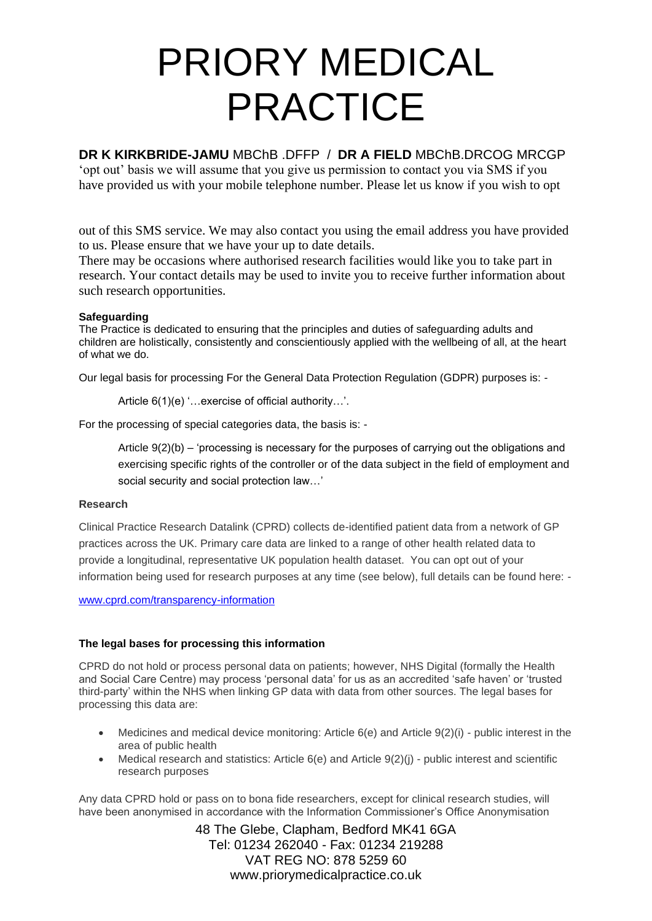# **DR K KIRKBRIDE-JAMU** MBChB .DFFP / **DR A FIELD** MBChB.DRCOG MRCGP

'opt out' basis we will assume that you give us permission to contact you via SMS if you have provided us with your mobile telephone number. Please let us know if you wish to opt

out of this SMS service. We may also contact you using the email address you have provided to us. Please ensure that we have your up to date details.

There may be occasions where authorised research facilities would like you to take part in research. Your contact details may be used to invite you to receive further information about such research opportunities.

## **Safeguarding**

The Practice is dedicated to ensuring that the principles and duties of safeguarding adults and children are holistically, consistently and conscientiously applied with the wellbeing of all, at the heart of what we do.

Our legal basis for processing For the General Data Protection Regulation (GDPR) purposes is: -

Article 6(1)(e) '…exercise of official authority…'.

For the processing of special categories data, the basis is: -

Article 9(2)(b) – 'processing is necessary for the purposes of carrying out the obligations and exercising specific rights of the controller or of the data subject in the field of employment and social security and social protection law…'

## **Research**

Clinical Practice Research Datalink (CPRD) collects de-identified patient data from a network of GP practices across the UK. Primary care data are linked to a range of other health related data to provide a longitudinal, representative UK population health dataset. You can opt out of your information being used for research purposes at any time (see below), full details can be found here: -

[www.cprd.com/transparency-information](http://www.cprd.com/transparency-information)

## **The legal bases for processing this information**

CPRD do not hold or process personal data on patients; however, NHS Digital (formally the Health and Social Care Centre) may process 'personal data' for us as an accredited 'safe haven' or 'trusted third-party' within the NHS when linking GP data with data from other sources. The legal bases for processing this data are:

- Medicines and medical device monitoring: Article  $6(e)$  and Article  $9(2)(i)$  public interest in the area of public health
- Medical research and statistics: Article 6(e) and Article 9(2)(j) public interest and scientific research purposes

Any data CPRD hold or pass on to bona fide researchers, except for clinical research studies, will have been anonymised in accordance with the Information Commissioner's Office Anonymisation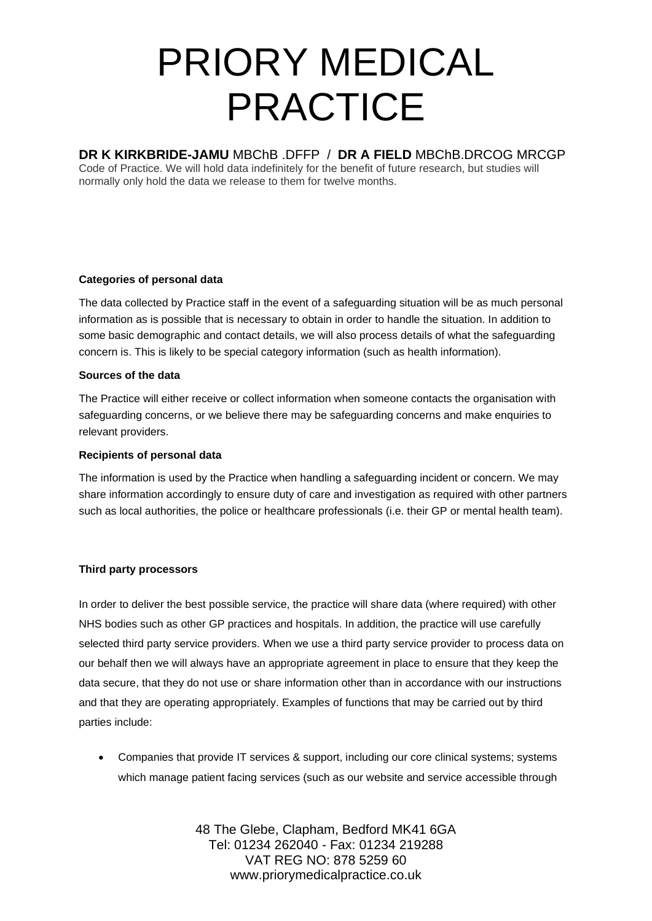## **DR K KIRKBRIDE-JAMU** MBChB .DFFP / **DR A FIELD** MBChB.DRCOG MRCGP

Code of Practice. We will hold data indefinitely for the benefit of future research, but studies will normally only hold the data we release to them for twelve months.

## **Categories of personal data**

The data collected by Practice staff in the event of a safeguarding situation will be as much personal information as is possible that is necessary to obtain in order to handle the situation. In addition to some basic demographic and contact details, we will also process details of what the safeguarding concern is. This is likely to be special category information (such as health information).

## **Sources of the data**

The Practice will either receive or collect information when someone contacts the organisation with safeguarding concerns, or we believe there may be safeguarding concerns and make enquiries to relevant providers.

## **Recipients of personal data**

The information is used by the Practice when handling a safeguarding incident or concern. We may share information accordingly to ensure duty of care and investigation as required with other partners such as local authorities, the police or healthcare professionals (i.e. their GP or mental health team).

## **Third party processors**

In order to deliver the best possible service, the practice will share data (where required) with other NHS bodies such as other GP practices and hospitals. In addition, the practice will use carefully selected third party service providers. When we use a third party service provider to process data on our behalf then we will always have an appropriate agreement in place to ensure that they keep the data secure, that they do not use or share information other than in accordance with our instructions and that they are operating appropriately. Examples of functions that may be carried out by third parties include:

• Companies that provide IT services & support, including our core clinical systems; systems which manage patient facing services (such as our website and service accessible through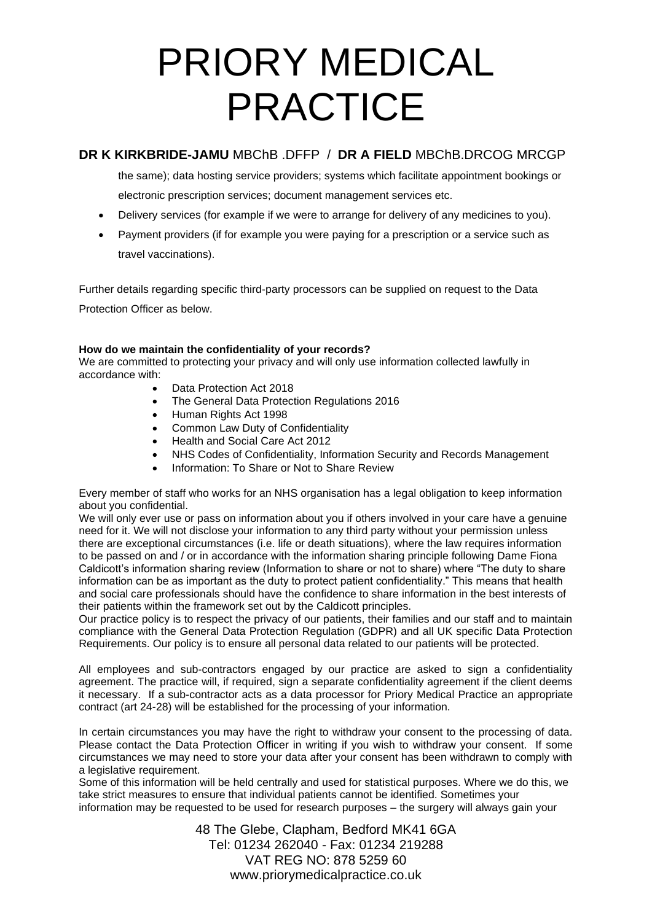# **DR K KIRKBRIDE-JAMU** MBChB .DFFP / **DR A FIELD** MBChB.DRCOG MRCGP

the same); data hosting service providers; systems which facilitate appointment bookings or electronic prescription services; document management services etc.

- Delivery services (for example if we were to arrange for delivery of any medicines to you).
- Payment providers (if for example you were paying for a prescription or a service such as travel vaccinations).

Further details regarding specific third-party processors can be supplied on request to the Data Protection Officer as below.

## **How do we maintain the confidentiality of your records?**

We are committed to protecting your privacy and will only use information collected lawfully in accordance with:

- Data Protection Act 2018
- The General Data Protection Regulations 2016
- Human Rights Act 1998
- Common Law Duty of Confidentiality
- Health and Social Care Act 2012
- NHS Codes of Confidentiality, Information Security and Records Management
- Information: To Share or Not to Share Review

Every member of staff who works for an NHS organisation has a legal obligation to keep information about you confidential.

We will only ever use or pass on information about you if others involved in your care have a genuine need for it. We will not disclose your information to any third party without your permission unless there are exceptional circumstances (i.e. life or death situations), where the law requires information to be passed on and / or in accordance with the information sharing principle following Dame Fiona Caldicott's information sharing review (Information to share or not to share) where "The duty to share information can be as important as the duty to protect patient confidentiality." This means that health and social care professionals should have the confidence to share information in the best interests of their patients within the framework set out by the Caldicott principles.

Our practice policy is to respect the privacy of our patients, their families and our staff and to maintain compliance with the General Data Protection Regulation (GDPR) and all UK specific Data Protection Requirements. Our policy is to ensure all personal data related to our patients will be protected.

All employees and sub-contractors engaged by our practice are asked to sign a confidentiality agreement. The practice will, if required, sign a separate confidentiality agreement if the client deems it necessary. If a sub-contractor acts as a data processor for Priory Medical Practice an appropriate contract (art 24-28) will be established for the processing of your information.

In certain circumstances you may have the right to withdraw your consent to the processing of data. Please contact the Data Protection Officer in writing if you wish to withdraw your consent. If some circumstances we may need to store your data after your consent has been withdrawn to comply with a legislative requirement.

Some of this information will be held centrally and used for statistical purposes. Where we do this, we take strict measures to ensure that individual patients cannot be identified. Sometimes your information may be requested to be used for research purposes – the surgery will always gain your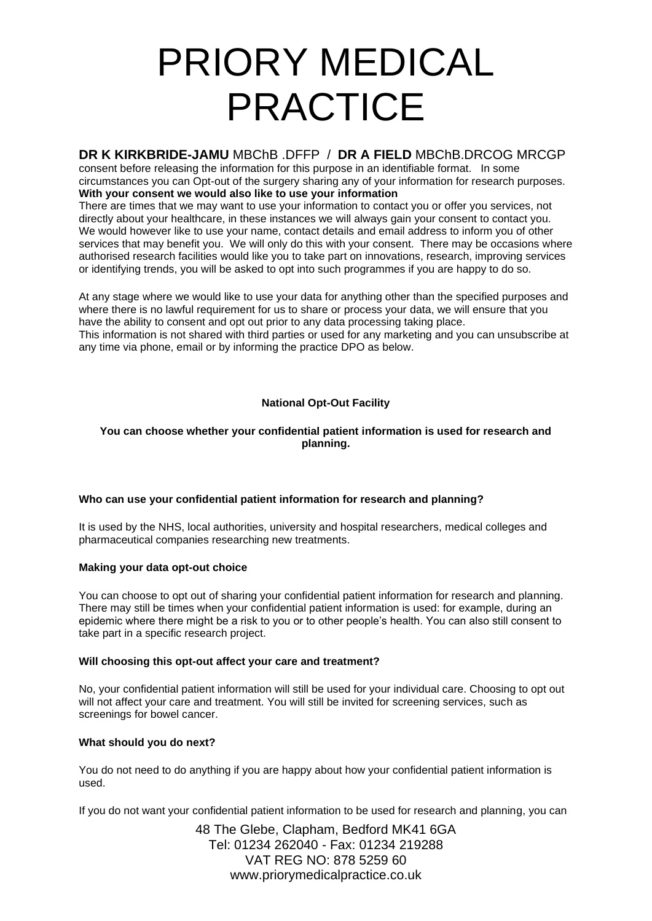## **DR K KIRKBRIDE-JAMU** MBChB .DFFP / **DR A FIELD** MBChB.DRCOG MRCGP

consent before releasing the information for this purpose in an identifiable format. In some circumstances you can Opt-out of the surgery sharing any of your information for research purposes. **With your consent we would also like to use your information** 

There are times that we may want to use your information to contact you or offer you services, not directly about your healthcare, in these instances we will always gain your consent to contact you. We would however like to use your name, contact details and email address to inform you of other services that may benefit you. We will only do this with your consent. There may be occasions where authorised research facilities would like you to take part on innovations, research, improving services or identifying trends, you will be asked to opt into such programmes if you are happy to do so.

At any stage where we would like to use your data for anything other than the specified purposes and where there is no lawful requirement for us to share or process your data, we will ensure that you have the ability to consent and opt out prior to any data processing taking place. This information is not shared with third parties or used for any marketing and you can unsubscribe at any time via phone, email or by informing the practice DPO as below.

## **National Opt-Out Facility**

### **You can choose whether your confidential patient information is used for research and planning.**

### **Who can use your confidential patient information for research and planning?**

It is used by the NHS, local authorities, university and hospital researchers, medical colleges and pharmaceutical companies researching new treatments.

### **Making your data opt-out choice**

You can choose to opt out of sharing your confidential patient information for research and planning. There may still be times when your confidential patient information is used: for example, during an epidemic where there might be a risk to you or to other people's health. You can also still consent to take part in a specific research project.

### **Will choosing this opt-out affect your care and treatment?**

No, your confidential patient information will still be used for your individual care. Choosing to opt out will not affect your care and treatment. You will still be invited for screening services, such as screenings for bowel cancer.

### **What should you do next?**

You do not need to do anything if you are happy about how your confidential patient information is used.

If you do not want your confidential patient information to be used for research and planning, you can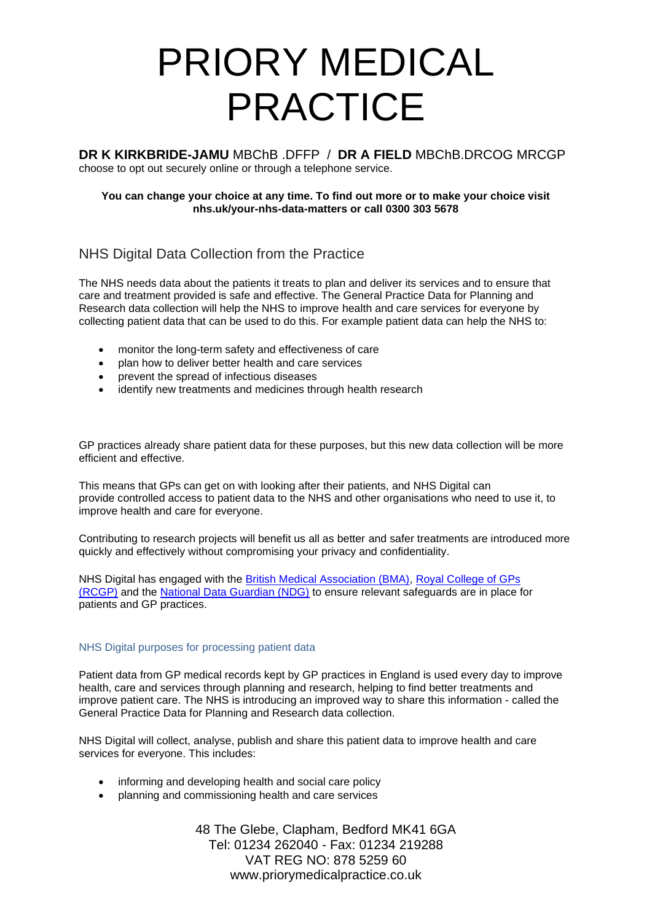**DR K KIRKBRIDE-JAMU** MBChB .DFFP / **DR A FIELD** MBChB.DRCOG MRCGP choose to opt out securely online or through a telephone service.

#### **You can change your choice at any time. To find out more or to make your choice visit nhs.uk/your-nhs-data-matters or call 0300 303 5678**

# NHS Digital Data Collection from the Practice

The NHS needs data about the patients it treats to plan and deliver its services and to ensure that care and treatment provided is safe and effective. The General Practice Data for Planning and Research data collection will help the NHS to improve health and care services for everyone by collecting patient data that can be used to do this. For example patient data can help the NHS to:

- monitor the long-term safety and effectiveness of care
- plan how to deliver better health and care services
- prevent the spread of infectious diseases
- identify new treatments and medicines through health research

GP practices already share patient data for these purposes, but this new data collection will be more efficient and effective.

This means that GPs can get on with looking after their patients, and NHS Digital can provide controlled access to patient data to the NHS and other organisations who need to use it, to improve health and care for everyone.

Contributing to research projects will benefit us all as better and safer treatments are introduced more quickly and effectively without compromising your privacy and confidentiality.

NHS Digital has engaged with the [British Medical Association \(BMA\),](http://www.bma.org.uk/) [Royal College of GPs](http://www.rcgp.org.uk/)  [\(RCGP\)](http://www.rcgp.org.uk/) and the [National Data Guardian \(NDG\)](http://www.gov.uk/government/organisations/national-data-guardian) to ensure relevant safeguards are in place for patients and GP practices.

### NHS Digital purposes for processing patient data

Patient data from GP medical records kept by GP practices in England is used every day to improve health, care and services through planning and research, helping to find better treatments and improve patient care. The NHS is introducing an improved way to share this information - called the General Practice Data for Planning and Research data collection.

NHS Digital will collect, analyse, publish and share this patient data to improve health and care services for everyone. This includes:

- informing and developing health and social care policy
- planning and commissioning health and care services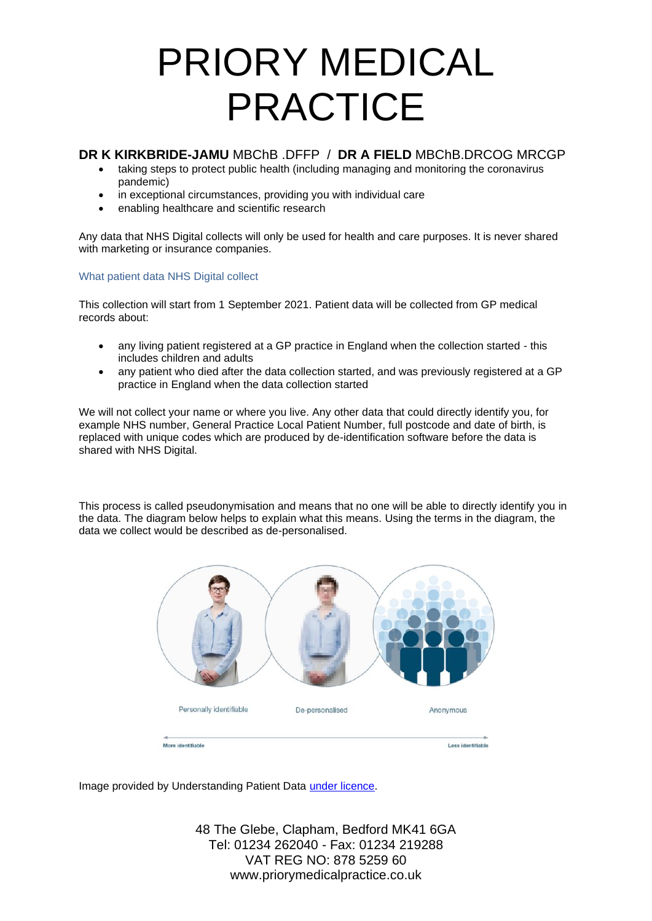## **DR K KIRKBRIDE-JAMU** MBChB .DFFP / **DR A FIELD** MBChB.DRCOG MRCGP

- taking steps to protect public health (including managing and monitoring the coronavirus pandemic)
- in exceptional circumstances, providing you with individual care
- enabling healthcare and scientific research

Any data that NHS Digital collects will only be used for health and care purposes. It is never shared with marketing or insurance companies.

#### What patient data NHS Digital collect

This collection will start from 1 September 2021. Patient data will be collected from GP medical records about:

- any living patient registered at a GP practice in England when the collection started this includes children and adults
- any patient who died after the data collection started, and was previously registered at a GP practice in England when the data collection started

We will not collect your name or where you live. Any other data that could directly identify you, for example NHS number, General Practice Local Patient Number, full postcode and date of birth, is replaced with unique codes which are produced by de-identification software before the data is shared with NHS Digital.

This process is called pseudonymisation and means that no one will be able to directly identify you in the data. The diagram below helps to explain what this means. Using the terms in the diagram, the data we collect would be described as de-personalised.



Image provided by Understanding Patient Data [under licence.](https://creativecommons.org/licenses/by/2.0/)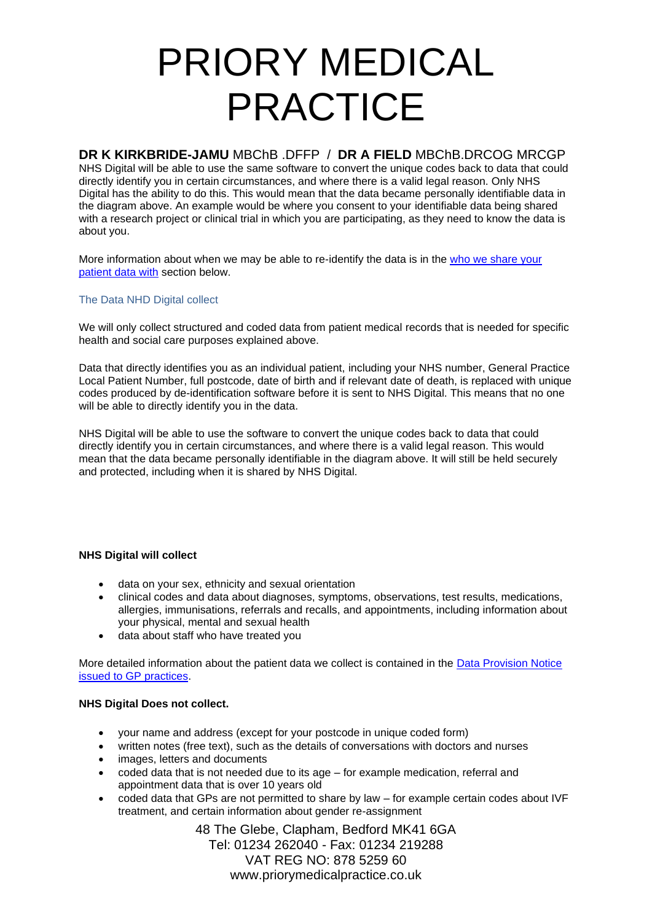## **DR K KIRKBRIDE-JAMU** MBChB .DFFP / **DR A FIELD** MBChB.DRCOG MRCGP

NHS Digital will be able to use the same software to convert the unique codes back to data that could directly identify you in certain circumstances, and where there is a valid legal reason. Only NHS Digital has the ability to do this. This would mean that the data became personally identifiable data in the diagram above. An example would be where you consent to your identifiable data being shared with a research project or clinical trial in which you are participating, as they need to know the data is about you.

More information about when we may be able to re-identify the data is in the [who we share your](https://digital.nhs.uk/data-and-information/data-collections-and-data-sets/data-collections/general-practice-data-for-planning-and-research/transparency-notice#who-we-share-your-patient-data-with)  [patient data with](https://digital.nhs.uk/data-and-information/data-collections-and-data-sets/data-collections/general-practice-data-for-planning-and-research/transparency-notice#who-we-share-your-patient-data-with) section below.

## The Data NHD Digital collect

We will only collect structured and coded data from patient medical records that is needed for specific health and social care purposes explained above.

Data that directly identifies you as an individual patient, including your NHS number, General Practice Local Patient Number, full postcode, date of birth and if relevant date of death, is replaced with unique codes produced by de-identification software before it is sent to NHS Digital. This means that no one will be able to directly identify you in the data.

NHS Digital will be able to use the software to convert the unique codes back to data that could directly identify you in certain circumstances, and where there is a valid legal reason. This would mean that the data became personally identifiable in the diagram above. It will still be held securely and protected, including when it is shared by NHS Digital.

### **NHS Digital will collect**

- data on your sex, ethnicity and sexual orientation
- clinical codes and data about diagnoses, symptoms, observations, test results, medications, allergies, immunisations, referrals and recalls, and appointments, including information about your physical, mental and sexual health
- data about staff who have treated you

More detailed information about the patient data we collect is contained in the **Data Provision Notice** [issued to GP practices.](https://digital.nhs.uk/about-nhs-digital/corporate-information-and-documents/directions-and-data-provision-notices/data-provision-notices-dpns/general-practice-data-for-planning-and-research)

### **NHS Digital Does not collect.**

- your name and address (except for your postcode in unique coded form)
- written notes (free text), such as the details of conversations with doctors and nurses
- images, letters and documents
- coded data that is not needed due to its age for example medication, referral and appointment data that is over 10 years old
- coded data that GPs are not permitted to share by law for example certain codes about IVF treatment, and certain information about gender re-assignment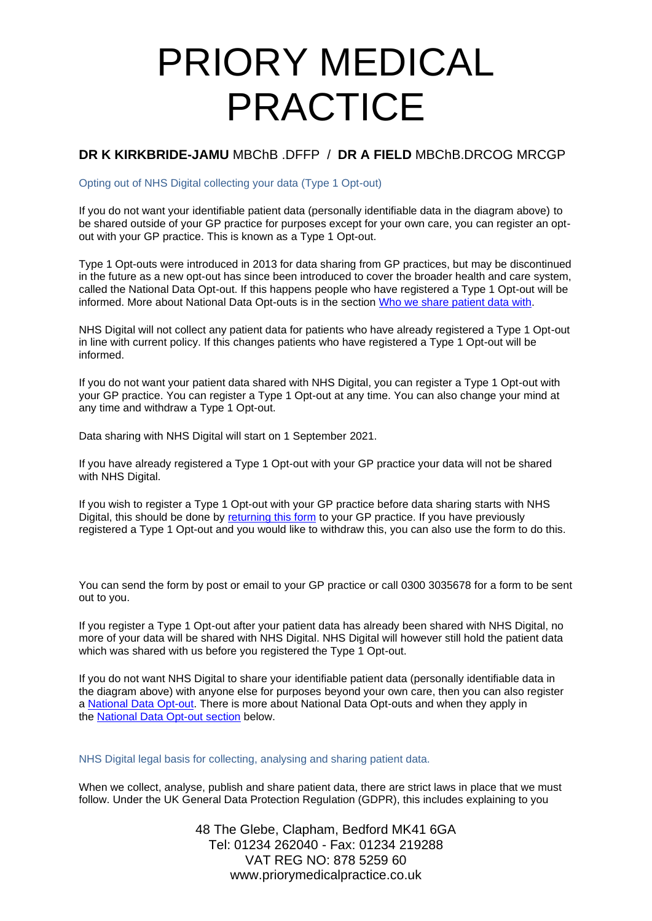## **DR K KIRKBRIDE-JAMU** MBChB .DFFP / **DR A FIELD** MBChB.DRCOG MRCGP

Opting out of NHS Digital collecting your data (Type 1 Opt-out)

If you do not want your identifiable patient data (personally identifiable data in the diagram above) to be shared outside of your GP practice for purposes except for your own care, you can register an optout with your GP practice. This is known as a Type 1 Opt-out.

Type 1 Opt-outs were introduced in 2013 for data sharing from GP practices, but may be discontinued in the future as a new opt-out has since been introduced to cover the broader health and care system, called the National Data Opt-out. If this happens people who have registered a Type 1 Opt-out will be informed. More about National Data Opt-outs is in the section [Who we share patient data with.](https://digital.nhs.uk/data-and-information/data-collections-and-data-sets/data-collections/general-practice-data-for-planning-and-research/transparency-notice#who-we-share-patient-data-with)

NHS Digital will not collect any patient data for patients who have already registered a Type 1 Opt-out in line with current policy. If this changes patients who have registered a Type 1 Opt-out will be informed.

If you do not want your patient data shared with NHS Digital, you can register a Type 1 Opt-out with your GP practice. You can register a Type 1 Opt-out at any time. You can also change your mind at any time and withdraw a Type 1 Opt-out.

Data sharing with NHS Digital will start on 1 September 2021.

If you have already registered a Type 1 Opt-out with your GP practice your data will not be shared with NHS Digital.

If you wish to register a Type 1 Opt-out with your GP practice before data sharing starts with NHS Digital, this should be done by [returning this form](https://nhs-prod.global.ssl.fastly.net/binaries/content/assets/website-assets/data-and-information/data-collections/general-practice-data-for-planning-and-research/type-1-opt-out-form.docx) to your GP practice. If you have previously registered a Type 1 Opt-out and you would like to withdraw this, you can also use the form to do this.

You can send the form by post or email to your GP practice or call 0300 3035678 for a form to be sent out to you.

If you register a Type 1 Opt-out after your patient data has already been shared with NHS Digital, no more of your data will be shared with NHS Digital. NHS Digital will however still hold the patient data which was shared with us before you registered the Type 1 Opt-out.

If you do not want NHS Digital to share your identifiable patient data (personally identifiable data in the diagram above) with anyone else for purposes beyond your own care, then you can also register a [National Data Opt-out.](https://www.nhs.uk/your-nhs-data-matters/) There is more about National Data Opt-outs and when they apply in the [National Data Opt-out section](https://digital.nhs.uk/data-and-information/data-collections-and-data-sets/data-collections/general-practice-data-for-planning-and-research/transparency-notice#national-data-opt-out-opting-out-of-nhs-digital-sharing-your-data-) below.

NHS Digital legal basis for collecting, analysing and sharing patient data.

When we collect, analyse, publish and share patient data, there are strict laws in place that we must follow. Under the UK General Data Protection Regulation (GDPR), this includes explaining to you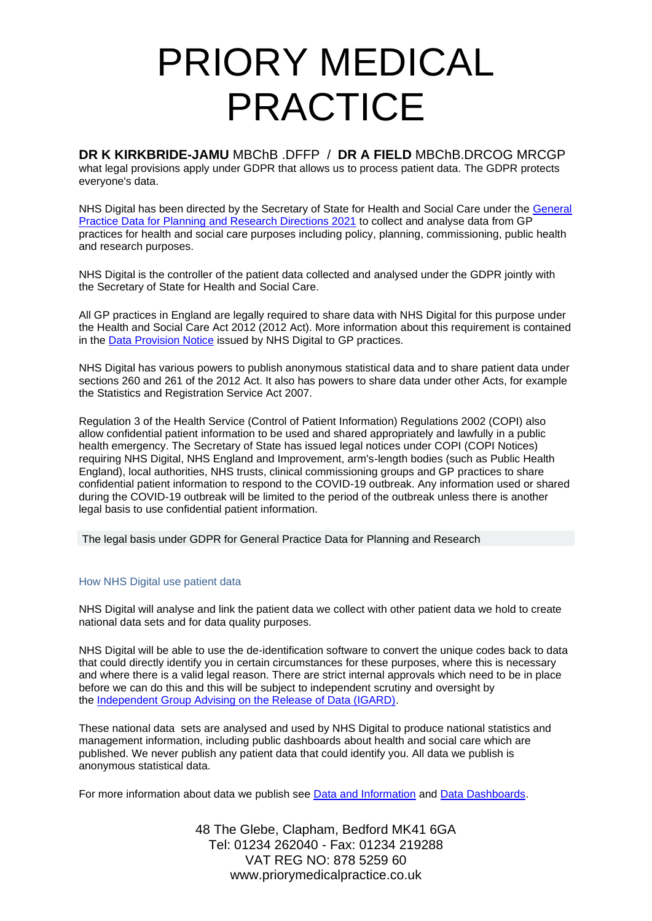**DR K KIRKBRIDE-JAMU** MBChB .DFFP / **DR A FIELD** MBChB.DRCOG MRCGP what legal provisions apply under GDPR that allows us to process patient data. The GDPR protects everyone's data.

NHS Digital has been directed by the Secretary of State for Health and Social Care under the [General](https://digital.nhs.uk/about-nhs-digital/corporate-information-and-documents/directions-and-data-provision-notices/secretary-of-state-directions/general-practice-data-for-planning-and-research-directions-2021)  Practice Data for Planning [and Research Directions 2021](https://digital.nhs.uk/about-nhs-digital/corporate-information-and-documents/directions-and-data-provision-notices/secretary-of-state-directions/general-practice-data-for-planning-and-research-directions-2021) to collect and analyse data from GP practices for health and social care purposes including policy, planning, commissioning, public health and research purposes.

NHS Digital is the controller of the patient data collected and analysed under the GDPR jointly with the Secretary of State for Health and Social Care.

All GP practices in England are legally required to share data with NHS Digital for this purpose under the Health and Social Care Act 2012 (2012 Act). More information about this requirement is contained in the [Data Provision Notice](https://digital.nhs.uk/about-nhs-digital/corporate-information-and-documents/directions-and-data-provision-notices/data-provision-notices-dpns/general-practice-data-for-planning-and-research) issued by NHS Digital to GP practices.

NHS Digital has various powers to publish anonymous statistical data and to share patient data under sections 260 and 261 of the 2012 Act. It also has powers to share data under other Acts, for example the Statistics and Registration Service Act 2007.

Regulation 3 of the Health Service (Control of Patient Information) Regulations 2002 (COPI) also allow confidential patient information to be used and shared appropriately and lawfully in a public health emergency. The Secretary of State has issued legal notices under COPI (COPI Notices) requiring NHS Digital, NHS England and Improvement, arm's-length bodies (such as Public Health England), local authorities, NHS trusts, clinical commissioning groups and GP practices to share confidential patient information to respond to the COVID-19 outbreak. Any information used or shared during the COVID-19 outbreak will be limited to the period of the outbreak unless there is another legal basis to use confidential patient information.

The legal basis under GDPR for General Practice Data for Planning and Research

### How NHS Digital use patient data

NHS Digital will analyse and link the patient data we collect with other patient data we hold to create national data sets and for data quality purposes.

NHS Digital will be able to use the de-identification software to convert the unique codes back to data that could directly identify you in certain circumstances for these purposes, where this is necessary and where there is a valid legal reason. There are strict internal approvals which need to be in place before we can do this and this will be subject to independent scrutiny and oversight by the [Independent Group Advising on the Release of Data \(IGARD\).](https://digital.nhs.uk/about-nhs-digital/corporate-information-and-documents/independent-group-advising-on-the-release-of-data)

These national data sets are analysed and used by NHS Digital to produce national statistics and management information, including public dashboards about health and social care which are published. We never publish any patient data that could identify you. All data we publish is anonymous statistical data.

For more information about data we publish see [Data and Information](https://digital.nhs.uk/data) and [Data Dashboards.](https://digital.nhs.uk/dashboards)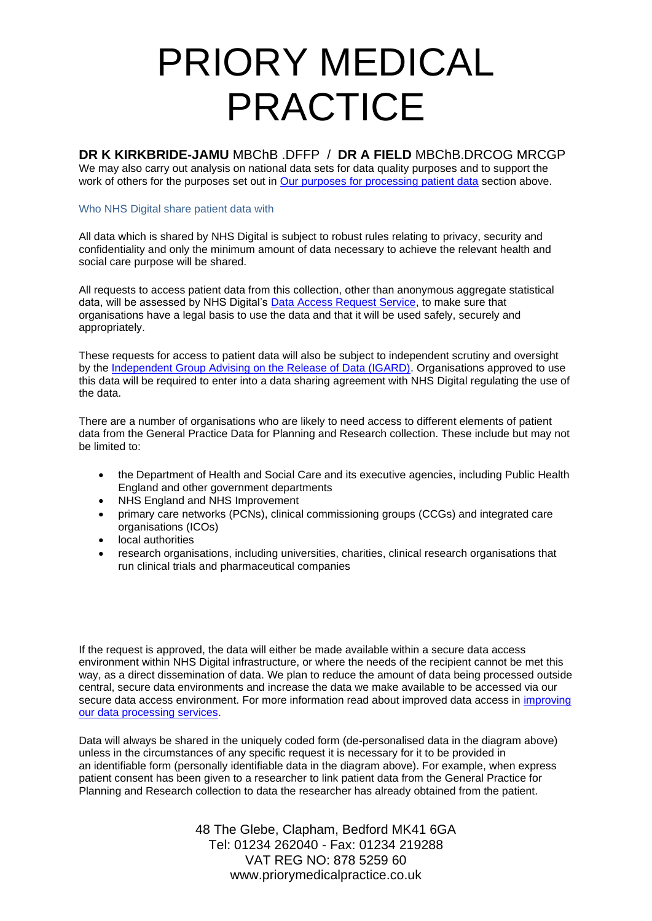**DR K KIRKBRIDE-JAMU** MBChB .DFFP / **DR A FIELD** MBChB.DRCOG MRCGP

We may also carry out analysis on national data sets for data quality purposes and to support the work of others for the purposes set out in [Our purposes for processing patient data](https://digital.nhs.uk/data-and-information/data-collections-and-data-sets/data-collections/general-practice-data-for-planning-and-research/transparency-notice#our-purposes-for-processing-patient-data) section above.

#### Who NHS Digital share patient data with

All data which is shared by NHS Digital is subject to robust rules relating to privacy, security and confidentiality and only the minimum amount of data necessary to achieve the relevant health and social care purpose will be shared.

All requests to access patient data from this collection, other than anonymous aggregate statistical data, will be assessed by NHS Digital's [Data Access Request Service,](https://digital.nhs.uk/services/data-access-request-service-dars) to make sure that organisations have a legal basis to use the data and that it will be used safely, securely and appropriately.

These requests for access to patient data will also be subject to independent scrutiny and oversight by the [Independent Group Advising on the Release of Data \(IGARD\).](https://digital.nhs.uk/about-nhs-digital/corporate-information-and-documents/independent-group-advising-on-the-release-of-data) Organisations approved to use this data will be required to enter into a data sharing agreement with NHS Digital regulating the use of the data.

There are a number of organisations who are likely to need access to different elements of patient data from the General Practice Data for Planning and Research collection. These include but may not be limited to:

- the Department of Health and Social Care and its executive agencies, including Public Health England and other government departments
- NHS England and NHS Improvement
- primary care networks (PCNs), clinical commissioning groups (CCGs) and integrated care organisations (ICOs)
- local authorities
- research organisations, including universities, charities, clinical research organisations that run clinical trials and pharmaceutical companies

If the request is approved, the data will either be made available within a secure data access environment within NHS Digital infrastructure, or where the needs of the recipient cannot be met this way, as a direct dissemination of data. We plan to reduce the amount of data being processed outside central, secure data environments and increase the data we make available to be accessed via our secure data access environment. For more information read about improved data access in [improving](https://digital.nhs.uk/data-and-information/data-insights-and-statistics/improving-our-data-processing-services)  [our data processing services.](https://digital.nhs.uk/data-and-information/data-insights-and-statistics/improving-our-data-processing-services)

Data will always be shared in the uniquely coded form (de-personalised data in the diagram above) unless in the circumstances of any specific request it is necessary for it to be provided in an identifiable form (personally identifiable data in the diagram above). For example, when express patient consent has been given to a researcher to link patient data from the General Practice for Planning and Research collection to data the researcher has already obtained from the patient.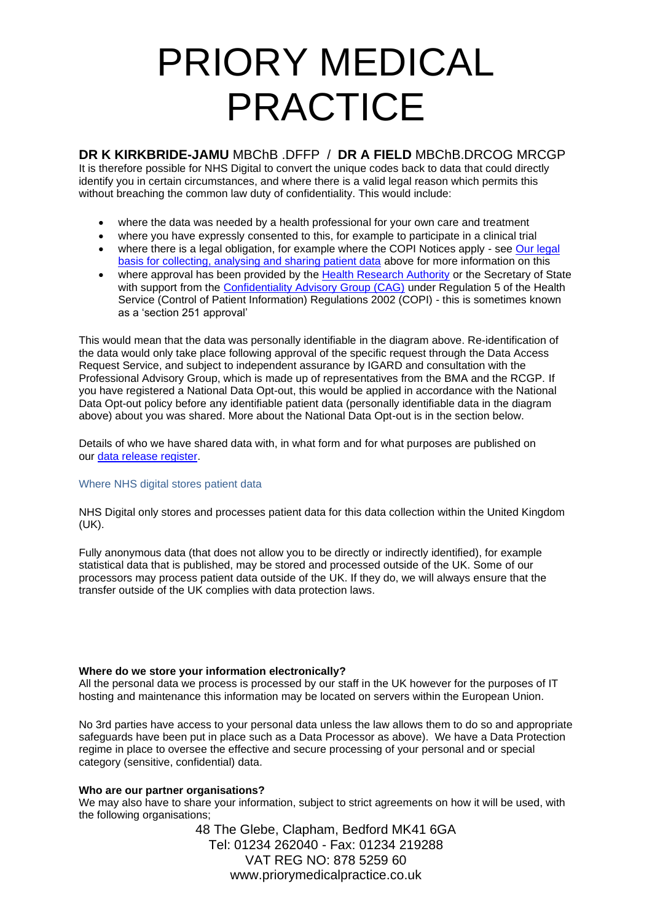## **DR K KIRKBRIDE-JAMU** MBChB .DFFP / **DR A FIELD** MBChB.DRCOG MRCGP

It is therefore possible for NHS Digital to convert the unique codes back to data that could directly identify you in certain circumstances, and where there is a valid legal reason which permits this without breaching the common law duty of confidentiality. This would include:

- where the data was needed by a health professional for your own care and treatment
- where you have expressly consented to this, for example to participate in a clinical trial
- where there is a legal obligation, for example where the COPI Notices apply see Our legal [basis for collecting, analysing and sharing patient data](https://digital.nhs.uk/data-and-information/data-collections-and-data-sets/data-collections/general-practice-data-for-planning-and-research/transparency-notice#our-legal-basis-for-collecting-analysing-and-sharing-patient-data) above for more information on this
- where approval has been provided by the [Health Research Authority](https://www.hra.nhs.uk/) or the Secretary of State with support from the [Confidentiality Advisory Group \(CAG\)](https://www.hra.nhs.uk/about-us/committees-and-services/confidentiality-advisory-group/) under Regulation 5 of the Health Service (Control of Patient Information) Regulations 2002 (COPI) - this is sometimes known as a 'section 251 approval'

This would mean that the data was personally identifiable in the diagram above. Re-identification of the data would only take place following approval of the specific request through the Data Access Request Service, and subject to independent assurance by IGARD and consultation with the Professional Advisory Group, which is made up of representatives from the BMA and the RCGP. If you have registered a National Data Opt-out, this would be applied in accordance with the National Data Opt-out policy before any identifiable patient data (personally identifiable data in the diagram above) about you was shared. More about the National Data Opt-out is in the section below.

Details of who we have shared data with, in what form and for what purposes are published on our [data release register.](https://digital.nhs.uk/services/data-access-request-service-dars/register-of-approved-data-releases)

### Where NHS digital stores patient data

NHS Digital only stores and processes patient data for this data collection within the United Kingdom (UK).

Fully anonymous data (that does not allow you to be directly or indirectly identified), for example statistical data that is published, may be stored and processed outside of the UK. Some of our processors may process patient data outside of the UK. If they do, we will always ensure that the transfer outside of the UK complies with data protection laws.

### **Where do we store your information electronically?**

All the personal data we process is processed by our staff in the UK however for the purposes of IT hosting and maintenance this information may be located on servers within the European Union.

No 3rd parties have access to your personal data unless the law allows them to do so and appropriate safeguards have been put in place such as a Data Processor as above). We have a Data Protection regime in place to oversee the effective and secure processing of your personal and or special category (sensitive, confidential) data.

### **Who are our partner organisations?**

We may also have to share your information, subject to strict agreements on how it will be used, with the following organisations;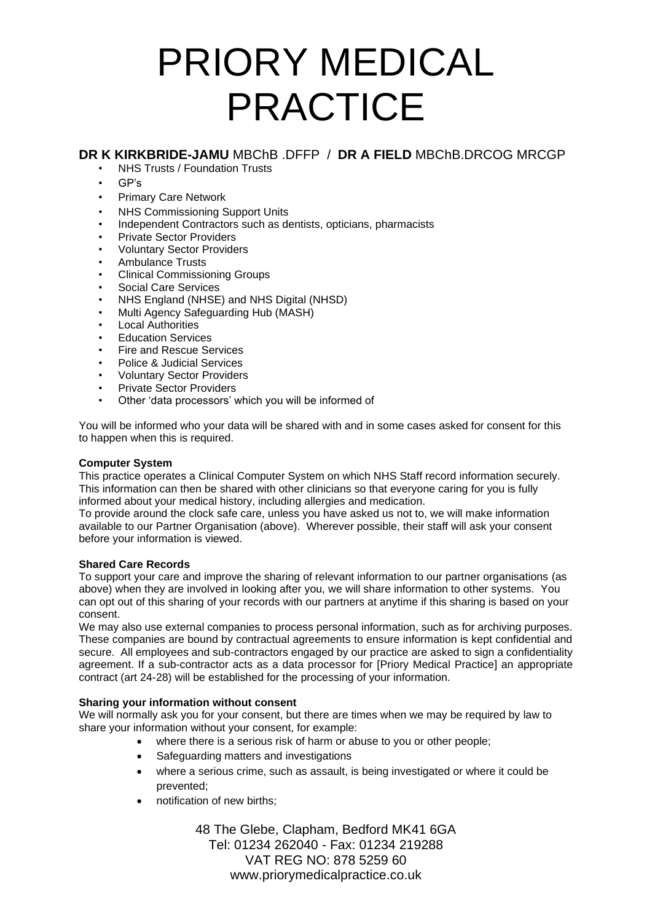## **DR K KIRKBRIDE-JAMU** MBChB .DFFP / **DR A FIELD** MBChB.DRCOG MRCGP

- NHS Trusts / Foundation Trusts
- GP's
- Primary Care Network
- NHS Commissioning Support Units
- Independent Contractors such as dentists, opticians, pharmacists
- Private Sector Providers
- Voluntary Sector Providers
- Ambulance Trusts
- Clinical Commissioning Groups
- Social Care Services
- NHS England (NHSE) and NHS Digital (NHSD)
- Multi Agency Safeguarding Hub (MASH)
- **Local Authorities**
- Education Services
- Fire and Rescue Services
- Police & Judicial Services
- Voluntary Sector Providers
- Private Sector Providers
- Other 'data processors' which you will be informed of

You will be informed who your data will be shared with and in some cases asked for consent for this to happen when this is required.

### **Computer System**

This practice operates a Clinical Computer System on which NHS Staff record information securely. This information can then be shared with other clinicians so that everyone caring for you is fully informed about your medical history, including allergies and medication.

To provide around the clock safe care, unless you have asked us not to, we will make information available to our Partner Organisation (above). Wherever possible, their staff will ask your consent before your information is viewed.

### **Shared Care Records**

To support your care and improve the sharing of relevant information to our partner organisations (as above) when they are involved in looking after you, we will share information to other systems. You can opt out of this sharing of your records with our partners at anytime if this sharing is based on your consent.

We may also use external companies to process personal information, such as for archiving purposes. These companies are bound by contractual agreements to ensure information is kept confidential and secure. All employees and sub-contractors engaged by our practice are asked to sign a confidentiality agreement. If a sub-contractor acts as a data processor for [Priory Medical Practice] an appropriate contract (art 24-28) will be established for the processing of your information.

### **Sharing your information without consent**

We will normally ask you for your consent, but there are times when we may be required by law to share your information without your consent, for example:

- where there is a serious risk of harm or abuse to you or other people;
- Safeguarding matters and investigations
- where a serious crime, such as assault, is being investigated or where it could be prevented;
- notification of new births;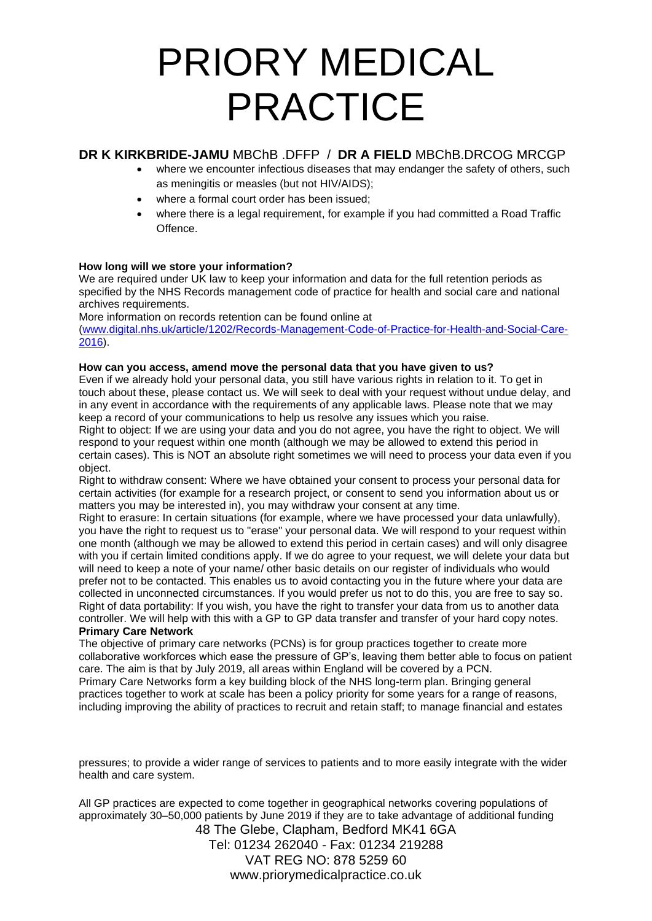## **DR K KIRKBRIDE-JAMU** MBChB .DFFP / **DR A FIELD** MBChB.DRCOG MRCGP

- where we encounter infectious diseases that may endanger the safety of others, such as meningitis or measles (but not HIV/AIDS);
- where a formal court order has been issued:
- where there is a legal requirement, for example if you had committed a Road Traffic Offence.

## **How long will we store your information?**

We are required under UK law to keep your information and data for the full retention periods as specified by the NHS Records management code of practice for health and social care and national archives requirements.

More information on records retention can be found online at

[\(www.digital.nhs.uk/article/1202/Records-Management-Code-of-Practice-for-Health-and-Social-Care-](http://www.digital.nhs.uk/article/1202/Records-Management-Code-of-Practice-for-Health-and-Social-Care-2016)[2016\)](http://www.digital.nhs.uk/article/1202/Records-Management-Code-of-Practice-for-Health-and-Social-Care-2016).

### **How can you access, amend move the personal data that you have given to us?**

Even if we already hold your personal data, you still have various rights in relation to it. To get in touch about these, please contact us. We will seek to deal with your request without undue delay, and in any event in accordance with the requirements of any applicable laws. Please note that we may keep a record of your communications to help us resolve any issues which you raise.

Right to object: If we are using your data and you do not agree, you have the right to object. We will respond to your request within one month (although we may be allowed to extend this period in certain cases). This is NOT an absolute right sometimes we will need to process your data even if you object.

Right to withdraw consent: Where we have obtained your consent to process your personal data for certain activities (for example for a research project, or consent to send you information about us or matters you may be interested in), you may withdraw your consent at any time.

Right to erasure: In certain situations (for example, where we have processed your data unlawfully), you have the right to request us to "erase" your personal data. We will respond to your request within one month (although we may be allowed to extend this period in certain cases) and will only disagree with you if certain limited conditions apply. If we do agree to your request, we will delete your data but will need to keep a note of your name/ other basic details on our register of individuals who would prefer not to be contacted. This enables us to avoid contacting you in the future where your data are collected in unconnected circumstances. If you would prefer us not to do this, you are free to say so. Right of data portability: If you wish, you have the right to transfer your data from us to another data controller. We will help with this with a GP to GP data transfer and transfer of your hard copy notes. **Primary Care Network**

#### The objective of primary care networks (PCNs) is for group practices together to create more collaborative workforces which ease the pressure of GP's, leaving them better able to focus on patient care. The aim is that by July 2019, all areas within England will be covered by a PCN. Primary Care Networks form a key building block of the NHS long-term plan. Bringing general practices together to work at scale has been a policy priority for some years for a range of reasons,

including improving the ability of practices to recruit and retain staff; to manage financial and estates

pressures; to provide a wider range of services to patients and to more easily integrate with the wider health and care system.

48 The Glebe, Clapham, Bedford MK41 6GA Tel: 01234 262040 - Fax: 01234 219288 VAT REG NO: 878 5259 60 All GP practices are expected to come together in geographical networks covering populations of approximately 30–50,000 patients by June 2019 if they are to take advantage of additional funding

www.priorymedicalpractice.co.uk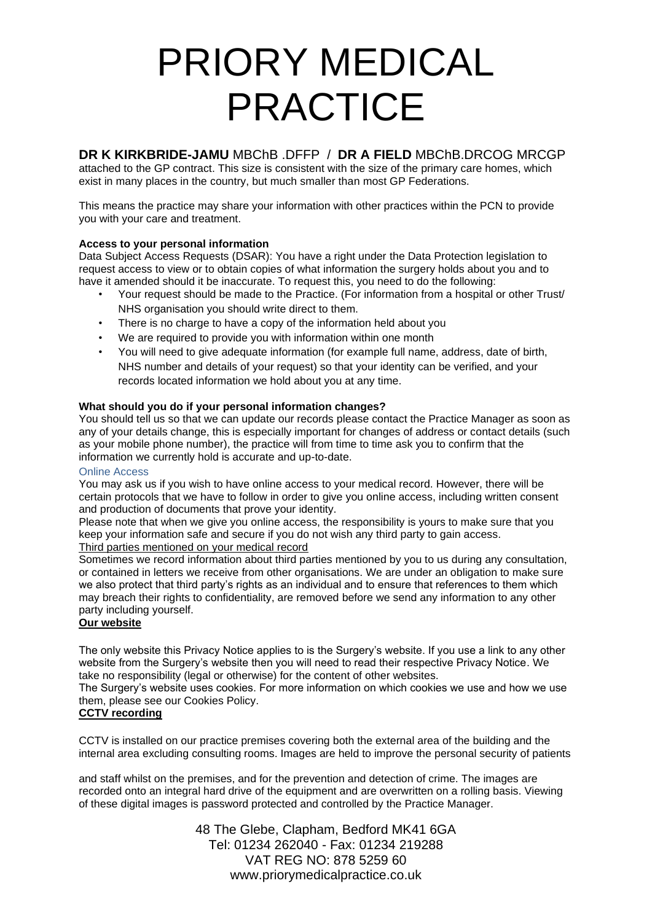# **DR K KIRKBRIDE-JAMU** MBChB .DFFP / **DR A FIELD** MBChB.DRCOG MRCGP

attached to the GP contract. This size is consistent with the size of the primary care homes, which exist in many places in the country, but much smaller than most GP Federations.

This means the practice may share your information with other practices within the PCN to provide you with your care and treatment.

## **Access to your personal information**

Data Subject Access Requests (DSAR): You have a right under the Data Protection legislation to request access to view or to obtain copies of what information the surgery holds about you and to have it amended should it be inaccurate. To request this, you need to do the following:

- Your request should be made to the Practice. (For information from a hospital or other Trust/ NHS organisation you should write direct to them.
- There is no charge to have a copy of the information held about you
- We are required to provide you with information within one month
- You will need to give adequate information (for example full name, address, date of birth, NHS number and details of your request) so that your identity can be verified, and your records located information we hold about you at any time.

## **What should you do if your personal information changes?**

You should tell us so that we can update our records please contact the Practice Manager as soon as any of your details change, this is especially important for changes of address or contact details (such as your mobile phone number), the practice will from time to time ask you to confirm that the information we currently hold is accurate and up-to-date.

### Online Access

You may ask us if you wish to have online access to your medical record. However, there will be certain protocols that we have to follow in order to give you online access, including written consent and production of documents that prove your identity.

Please note that when we give you online access, the responsibility is yours to make sure that you keep your information safe and secure if you do not wish any third party to gain access. Third parties mentioned on your medical record

Sometimes we record information about third parties mentioned by you to us during any consultation, or contained in letters we receive from other organisations. We are under an obligation to make sure we also protect that third party's rights as an individual and to ensure that references to them which may breach their rights to confidentiality, are removed before we send any information to any other party including yourself.

## **Our website**

The only website this Privacy Notice applies to is the Surgery's website. If you use a link to any other website from the Surgery's website then you will need to read their respective Privacy Notice. We take no responsibility (legal or otherwise) for the content of other websites.

The Surgery's website uses cookies. For more information on which cookies we use and how we use them, please see our Cookies Policy.

## **CCTV recording**

CCTV is installed on our practice premises covering both the external area of the building and the internal area excluding consulting rooms. Images are held to improve the personal security of patients

and staff whilst on the premises, and for the prevention and detection of crime. The images are recorded onto an integral hard drive of the equipment and are overwritten on a rolling basis. Viewing of these digital images is password protected and controlled by the Practice Manager.